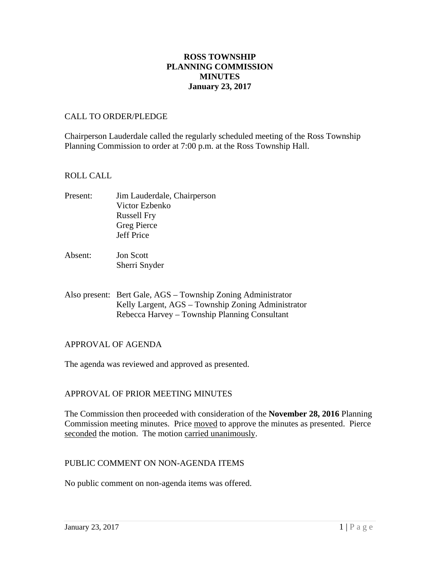### **ROSS TOWNSHIP PLANNING COMMISSION MINUTES January 23, 2017**

#### CALL TO ORDER/PLEDGE

Chairperson Lauderdale called the regularly scheduled meeting of the Ross Township Planning Commission to order at 7:00 p.m. at the Ross Township Hall.

### ROLL CALL

- Present: Jim Lauderdale, Chairperson Victor Ezbenko Russell Fry Greg Pierce Jeff Price
- Absent: Jon Scott Sherri Snyder
- Also present: Bert Gale, AGS Township Zoning Administrator Kelly Largent, AGS – Township Zoning Administrator Rebecca Harvey – Township Planning Consultant

### APPROVAL OF AGENDA

The agenda was reviewed and approved as presented.

### APPROVAL OF PRIOR MEETING MINUTES

The Commission then proceeded with consideration of the **November 28, 2016** Planning Commission meeting minutes. Price moved to approve the minutes as presented. Pierce seconded the motion. The motion carried unanimously.

### PUBLIC COMMENT ON NON-AGENDA ITEMS

No public comment on non-agenda items was offered.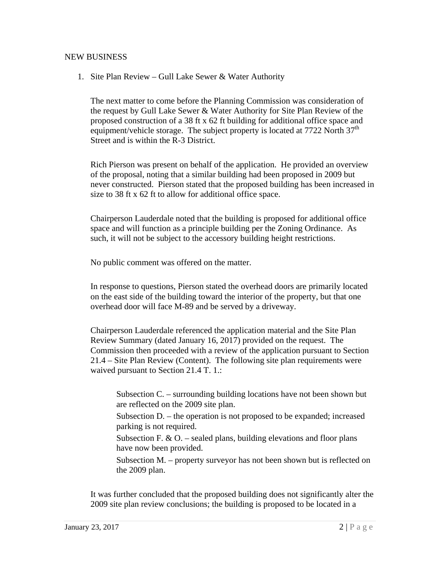#### NEW BUSINESS

1. Site Plan Review – Gull Lake Sewer & Water Authority

The next matter to come before the Planning Commission was consideration of the request by Gull Lake Sewer & Water Authority for Site Plan Review of the proposed construction of a 38 ft x 62 ft building for additional office space and equipment/vehicle storage. The subject property is located at  $7722$  North  $37<sup>th</sup>$ Street and is within the R-3 District.

Rich Pierson was present on behalf of the application. He provided an overview of the proposal, noting that a similar building had been proposed in 2009 but never constructed. Pierson stated that the proposed building has been increased in size to 38 ft x 62 ft to allow for additional office space.

Chairperson Lauderdale noted that the building is proposed for additional office space and will function as a principle building per the Zoning Ordinance. As such, it will not be subject to the accessory building height restrictions.

No public comment was offered on the matter.

In response to questions, Pierson stated the overhead doors are primarily located on the east side of the building toward the interior of the property, but that one overhead door will face M-89 and be served by a driveway.

Chairperson Lauderdale referenced the application material and the Site Plan Review Summary (dated January 16, 2017) provided on the request. The Commission then proceeded with a review of the application pursuant to Section 21.4 – Site Plan Review (Content). The following site plan requirements were waived pursuant to Section 21.4 T. 1.:

Subsection C. – surrounding building locations have not been shown but are reflected on the 2009 site plan.

Subsection D. – the operation is not proposed to be expanded; increased parking is not required.

Subsection F.  $& O.$  – sealed plans, building elevations and floor plans have now been provided.

Subsection M. – property surveyor has not been shown but is reflected on the 2009 plan.

It was further concluded that the proposed building does not significantly alter the 2009 site plan review conclusions; the building is proposed to be located in a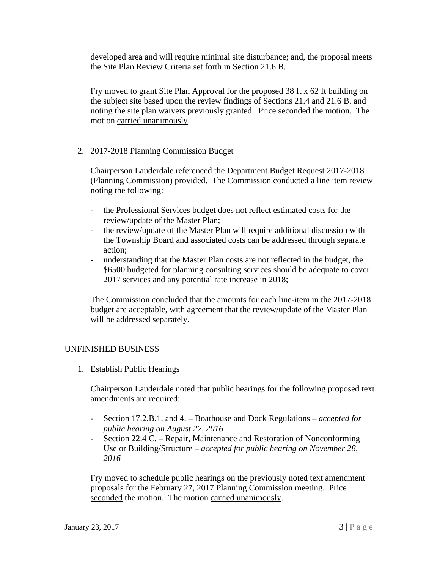developed area and will require minimal site disturbance; and, the proposal meets the Site Plan Review Criteria set forth in Section 21.6 B.

Fry moved to grant Site Plan Approval for the proposed 38 ft x 62 ft building on the subject site based upon the review findings of Sections 21.4 and 21.6 B. and noting the site plan waivers previously granted. Price seconded the motion. The motion carried unanimously.

2. 2017-2018 Planning Commission Budget

Chairperson Lauderdale referenced the Department Budget Request 2017-2018 (Planning Commission) provided. The Commission conducted a line item review noting the following:

- the Professional Services budget does not reflect estimated costs for the review/update of the Master Plan;
- the review/update of the Master Plan will require additional discussion with the Township Board and associated costs can be addressed through separate action;
- understanding that the Master Plan costs are not reflected in the budget, the \$6500 budgeted for planning consulting services should be adequate to cover 2017 services and any potential rate increase in 2018;

The Commission concluded that the amounts for each line-item in the 2017-2018 budget are acceptable, with agreement that the review/update of the Master Plan will be addressed separately.

## UNFINISHED BUSINESS

1. Establish Public Hearings

Chairperson Lauderdale noted that public hearings for the following proposed text amendments are required:

- Section 17.2.B.1. and 4. Boathouse and Dock Regulations *accepted for public hearing on August 22, 2016*
- Section 22.4 C. Repair, Maintenance and Restoration of Nonconforming Use or Building/Structure – *accepted for public hearing on November 28, 2016*

Fry moved to schedule public hearings on the previously noted text amendment proposals for the February 27, 2017 Planning Commission meeting. Price seconded the motion. The motion carried unanimously.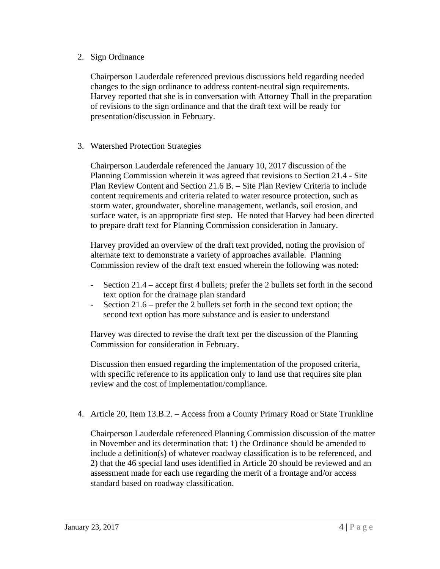### 2. Sign Ordinance

Chairperson Lauderdale referenced previous discussions held regarding needed changes to the sign ordinance to address content-neutral sign requirements. Harvey reported that she is in conversation with Attorney Thall in the preparation of revisions to the sign ordinance and that the draft text will be ready for presentation/discussion in February.

### 3. Watershed Protection Strategies

Chairperson Lauderdale referenced the January 10, 2017 discussion of the Planning Commission wherein it was agreed that revisions to Section 21.4 - Site Plan Review Content and Section 21.6 B. – Site Plan Review Criteria to include content requirements and criteria related to water resource protection, such as storm water, groundwater, shoreline management, wetlands, soil erosion, and surface water, is an appropriate first step. He noted that Harvey had been directed to prepare draft text for Planning Commission consideration in January.

Harvey provided an overview of the draft text provided, noting the provision of alternate text to demonstrate a variety of approaches available. Planning Commission review of the draft text ensued wherein the following was noted:

- Section 21.4 accept first 4 bullets; prefer the 2 bullets set forth in the second text option for the drainage plan standard
- Section 21.6 prefer the 2 bullets set forth in the second text option; the second text option has more substance and is easier to understand

Harvey was directed to revise the draft text per the discussion of the Planning Commission for consideration in February.

Discussion then ensued regarding the implementation of the proposed criteria, with specific reference to its application only to land use that requires site plan review and the cost of implementation/compliance.

4. Article 20, Item 13.B.2. – Access from a County Primary Road or State Trunkline

Chairperson Lauderdale referenced Planning Commission discussion of the matter in November and its determination that: 1) the Ordinance should be amended to include a definition(s) of whatever roadway classification is to be referenced, and 2) that the 46 special land uses identified in Article 20 should be reviewed and an assessment made for each use regarding the merit of a frontage and/or access standard based on roadway classification.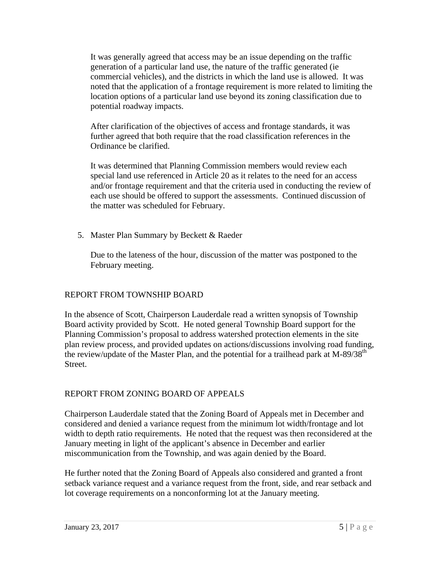It was generally agreed that access may be an issue depending on the traffic generation of a particular land use, the nature of the traffic generated (ie commercial vehicles), and the districts in which the land use is allowed. It was noted that the application of a frontage requirement is more related to limiting the location options of a particular land use beyond its zoning classification due to potential roadway impacts.

After clarification of the objectives of access and frontage standards, it was further agreed that both require that the road classification references in the Ordinance be clarified.

It was determined that Planning Commission members would review each special land use referenced in Article 20 as it relates to the need for an access and/or frontage requirement and that the criteria used in conducting the review of each use should be offered to support the assessments. Continued discussion of the matter was scheduled for February.

5. Master Plan Summary by Beckett & Raeder

Due to the lateness of the hour, discussion of the matter was postponed to the February meeting.

## REPORT FROM TOWNSHIP BOARD

In the absence of Scott, Chairperson Lauderdale read a written synopsis of Township Board activity provided by Scott. He noted general Township Board support for the Planning Commission's proposal to address watershed protection elements in the site plan review process, and provided updates on actions/discussions involving road funding, the review/update of the Master Plan, and the potential for a trailhead park at M-89/38<sup>th</sup> Street.

# REPORT FROM ZONING BOARD OF APPEALS

Chairperson Lauderdale stated that the Zoning Board of Appeals met in December and considered and denied a variance request from the minimum lot width/frontage and lot width to depth ratio requirements. He noted that the request was then reconsidered at the January meeting in light of the applicant's absence in December and earlier miscommunication from the Township, and was again denied by the Board.

He further noted that the Zoning Board of Appeals also considered and granted a front setback variance request and a variance request from the front, side, and rear setback and lot coverage requirements on a nonconforming lot at the January meeting.